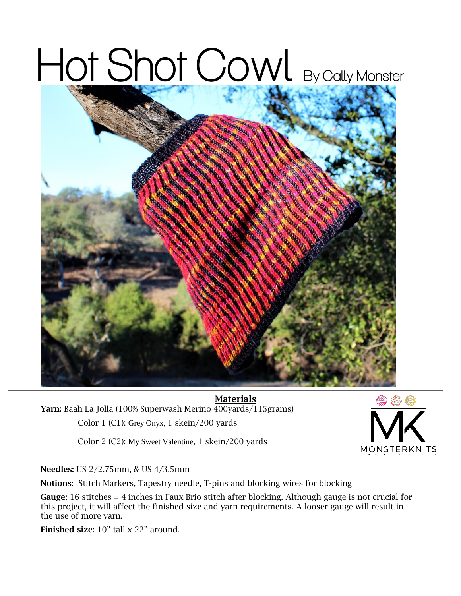## Hot Shot Cowl By Cally Monster



Materials Yarn: Baah La Jolla (100% Superwash Merino 400yards/115grams) Color 1 (C1): Grey Onyx, 1 skein/200 yards

**MONSTERKNITS** 

Color 2 (C2): My Sweet Valentine, 1 skein/200 yards

Needles: US 2/2.75mm, & US 4/3.5mm

Notions: Stitch Markers, Tapestry needle, T-pins and blocking wires for blocking

Gauge: 16 stitches = 4 inches in Faux Brio stitch after blocking. Although gauge is not crucial for this project, it will affect the finished size and yarn requirements. A looser gauge will result in the use of more yarn.

Finished size: 10" tall x 22" around.